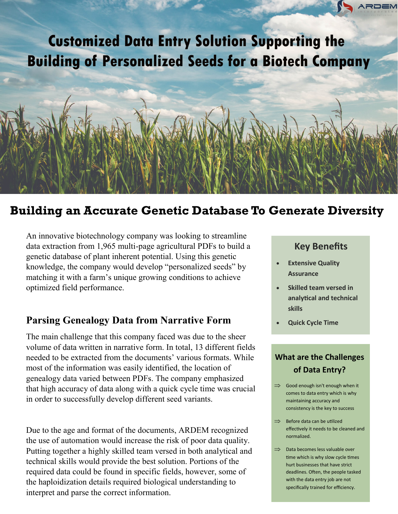# **Customized Data Entry Solution Supporting the Building of Personalized Seeds for a Biotech Company**



## **Building an Accurate Genetic Database To Generate Diversity**

An innovative biotechnology company was looking to streamline data extraction from 1,965 multi-page agricultural PDFs to build a genetic database of plant inherent potential. Using this genetic knowledge, the company would develop "personalized seeds" by matching it with a farm's unique growing conditions to achieve optimized field performance.

## **Parsing Genealogy Data from Narrative Form**

The main challenge that this company faced was due to the sheer volume of data written in narrative form. In total, 13 different fields needed to be extracted from the documents' various formats. While most of the information was easily identified, the location of genealogy data varied between PDFs. The company emphasized that high accuracy of data along with a quick cycle time was crucial in order to successfully develop different seed variants.

Due to the age and format of the documents, ARDEM recognized the use of automation would increase the risk of poor data quality. Putting together a highly skilled team versed in both analytical and technical skills would provide the best solution. Portions of the required data could be found in specific fields, however, some of the haploidization details required biological understanding to interpret and parse the correct information.

## **Key Benefits Key Benefits**

- **Looking to Automatic Contract Contract Contract Contract Contract Contract Contract Contract Contract Contract Contract Contract Contract Contract Contract Contract Contract Contract Contract Contract Contract Contract Contract Cont** • **Manage High Volumes** • **Extensive Quality Assurance**
- **These 3**  $\frac{1}{2}$ extending the still using the still using the still using the still using the still using the still using the <br>and the still using the still using the still using the still using the still using the still using the still u valuable human • Skilled team versed in **analytical and technical skills**

take data from one place and put it in

**• Quick Cycle Time** 

### **erata Conting Still using Strill using Strill using Strill using Strill using Strill using Strill using Strill using Strill using Strill using Strill using Strill using Strill using Strill using Strill using Strill using What are the Challenges**

- Good enough isn't enough when if<br>comes to data entry which is why terms to data entry which is we consistency is the key to success  $\implies$  Good enough isn't enough when it
- $\Rightarrow$  Before data can be utilized er are you still using your still use the still using your still use of the state of the state of the state of effectively it needs to be cleaned and
- $\Rightarrow$  Data becomes less valuable over time which is why slow cycle times hurt businesses that have strict deadlines. Often, the people tasked with the data entry job are not specifically trained for efficiency.